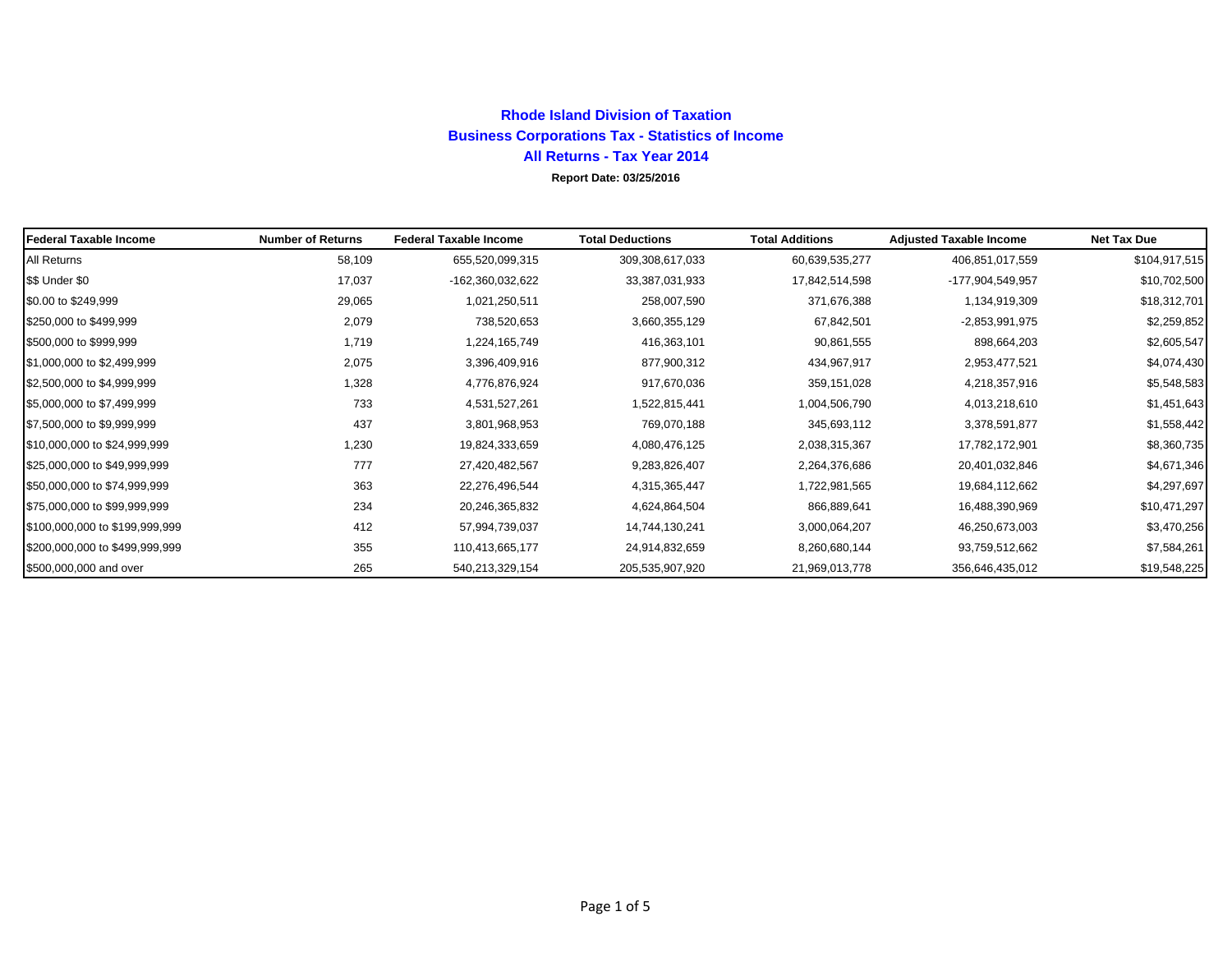## **Rhode Island Division of TaxationBusiness Corporations Tax - Statistics of Income All Returns - Tax Year 2014 Report Date: 03/25/2016**

| Federal Taxable Income         | <b>Number of Returns</b> | <b>Federal Taxable Income</b> | <b>Total Deductions</b> | <b>Total Additions</b> | <b>Adjusted Taxable Income</b> | <b>Net Tax Due</b> |
|--------------------------------|--------------------------|-------------------------------|-------------------------|------------------------|--------------------------------|--------------------|
| All Returns                    | 58,109                   | 655,520,099,315               | 309,308,617,033         | 60,639,535,277         | 406,851,017,559                | \$104,917,515      |
| \$\$ Under \$0                 | 17,037                   | -162,360,032,622              | 33,387,031,933          | 17,842,514,598         | -177,904,549,957               | \$10,702,500       |
| \$0.00 to \$249,999            | 29,065                   | 1,021,250,511                 | 258,007,590             | 371,676,388            | 1,134,919,309                  | \$18,312,701       |
| \$250,000 to \$499,999         | 2,079                    | 738,520,653                   | 3,660,355,129           | 67,842,501             | $-2,853,991,975$               | \$2,259,852        |
| \$500,000 to \$999,999         | 1,719                    | 1,224,165,749                 | 416,363,101             | 90,861,555             | 898,664,203                    | \$2,605,547        |
| \$1,000,000 to \$2,499,999     | 2,075                    | 3,396,409,916                 | 877,900,312             | 434,967,917            | 2,953,477,521                  | \$4,074,430        |
| \$2,500,000 to \$4,999,999     | 1,328                    | 4,776,876,924                 | 917,670,036             | 359,151,028            | 4,218,357,916                  | \$5,548,583        |
| \$5,000,000 to \$7,499,999     | 733                      | 4,531,527,261                 | 1,522,815,441           | 1,004,506,790          | 4,013,218,610                  | \$1,451,643        |
| \$7,500,000 to \$9,999,999     | 437                      | 3,801,968,953                 | 769,070,188             | 345,693,112            | 3,378,591,877                  | \$1,558,442        |
| \$10,000,000 to \$24,999,999   | 1,230                    | 19,824,333,659                | 4,080,476,125           | 2,038,315,367          | 17,782,172,901                 | \$8,360,735        |
| \$25,000,000 to \$49,999,999   | 777                      | 27,420,482,567                | 9,283,826,407           | 2,264,376,686          | 20,401,032,846                 | \$4,671,346        |
| \$50,000,000 to \$74,999,999   | 363                      | 22,276,496,544                | 4,315,365,447           | 1,722,981,565          | 19,684,112,662                 | \$4,297,697        |
| \$75,000,000 to \$99,999,999   | 234                      | 20,246,365,832                | 4,624,864,504           | 866,889,641            | 16,488,390,969                 | \$10,471,297       |
| \$100,000,000 to \$199,999,999 | 412                      | 57,994,739,037                | 14,744,130,241          | 3,000,064,207          | 46,250,673,003                 | \$3,470,256        |
| \$200,000,000 to \$499,999,999 | 355                      | 110,413,665,177               | 24,914,832,659          | 8,260,680,144          | 93,759,512,662                 | \$7,584,261        |
| \$500,000,000 and over         | 265                      | 540,213,329,154               | 205,535,907,920         | 21,969,013,778         | 356,646,435,012                | \$19,548,225       |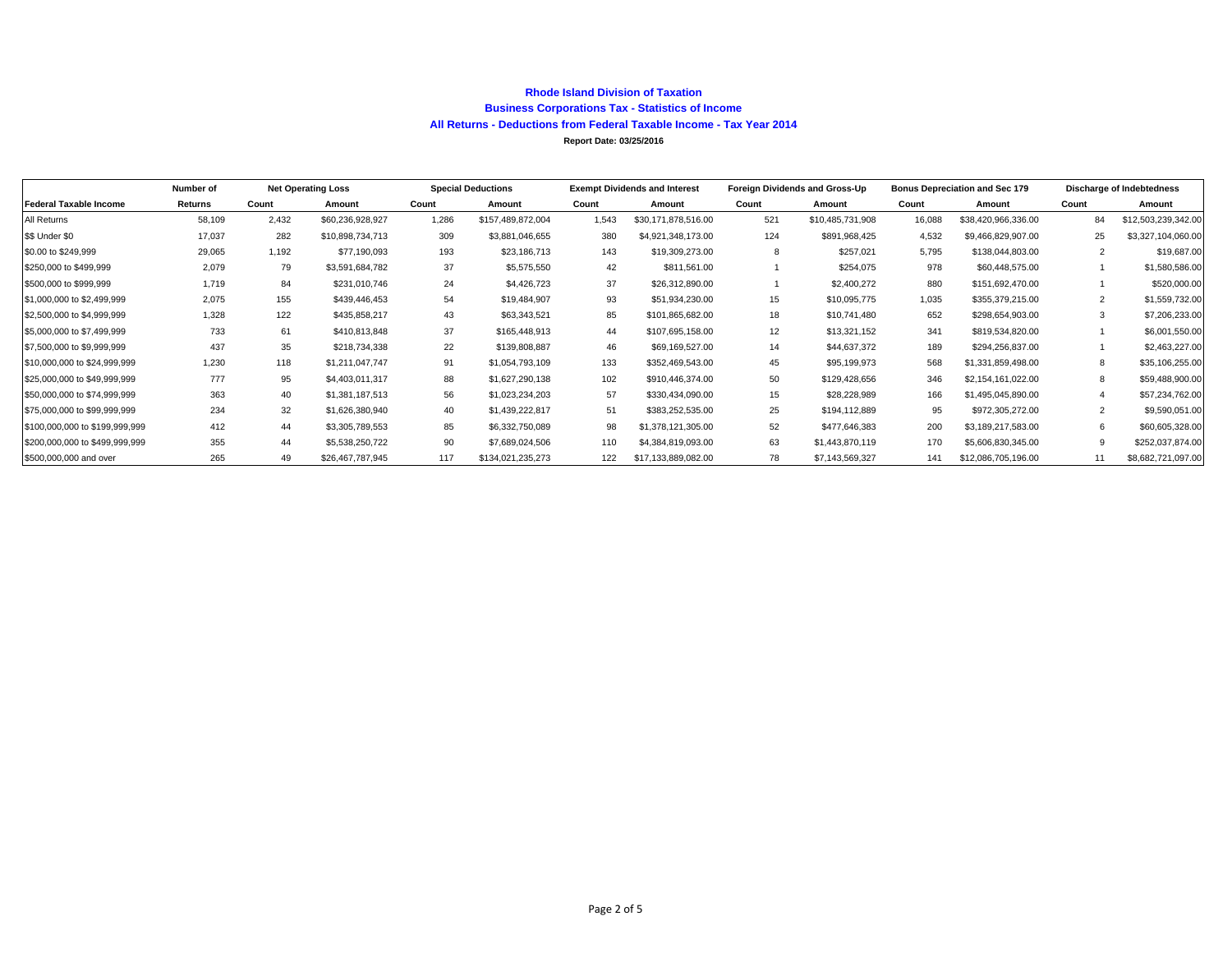#### **Rhode Island Division of Taxation Business Corporations Tax - Statistics of Income All Returns - Deductions from Federal Taxable Income - Tax Year 2014 Report Date: 03/25/2016**

|                                | Number of | <b>Net Operating Loss</b> |                  | <b>Special Deductions</b> |                   | <b>Exempt Dividends and Interest</b> |                     | Foreign Dividends and Gross-Up |                  | <b>Bonus Depreciation and Sec 179</b> |                     | Discharge of Indebtedness |                     |
|--------------------------------|-----------|---------------------------|------------------|---------------------------|-------------------|--------------------------------------|---------------------|--------------------------------|------------------|---------------------------------------|---------------------|---------------------------|---------------------|
| <b>Federal Taxable Income</b>  | Returns   | Count                     | Amount           | Count                     | Amount            | Count                                | Amount              | Count                          | Amount           | Count                                 | Amount              | Count                     | Amount              |
| All Returns                    | 58,109    | 2,432                     | \$60,236,928,927 | 1,286                     | \$157,489,872,004 | 1,543                                | \$30,171,878,516.00 | 521                            | \$10,485,731,908 | 16,088                                | \$38,420,966,336.00 | 84                        | \$12,503,239,342.00 |
| \$\$ Under \$0                 | 17,037    | 282                       | \$10,898,734,713 | 309                       | \$3,881,046,655   | 380                                  | \$4,921,348,173.00  | 124                            | \$891,968,425    | 4,532                                 | \$9,466,829,907.00  | 25                        | \$3,327,104,060.00  |
| \$0.00 to \$249,999            | 29,065    | 1,192                     | \$77,190,093     | 193                       | \$23,186,713      | 143                                  | \$19,309,273.00     | 8                              | \$257,021        | 5,795                                 | \$138,044,803.00    | 2                         | \$19,687.00         |
| \$250,000 to \$499,999         | 2,079     | 79                        | \$3,591,684,782  | 37                        | \$5,575,550       | 42                                   | \$811,561.00        |                                | \$254,075        | 978                                   | \$60,448,575.00     |                           | \$1,580,586.00      |
| \$500,000 to \$999,999         | 1.719     | 84                        | \$231,010,746    | 24                        | \$4,426,723       | 37                                   | \$26,312,890.00     |                                | \$2,400,272      | 880                                   | \$151,692,470.00    |                           | \$520,000.00        |
| \$1,000,000 to \$2,499,999     | 2.075     | 155                       | \$439,446,453    | 54                        | \$19,484,907      | 93                                   | \$51,934,230.00     | 15                             | \$10,095,775     | 1.035                                 | \$355,379,215.00    | 2                         | \$1,559,732.00      |
| \$2,500,000 to \$4,999,999     | 1.328     | 122                       | \$435,858,217    | 43                        | \$63,343,521      | 85                                   | \$101,865,682.00    | 18                             | \$10,741,480     | 652                                   | \$298,654,903.00    | 3                         | \$7,206,233.00      |
| \$5,000,000 to \$7,499,999     | 733       | 61                        | \$410,813,848    | 37                        | \$165,448,913     | 44                                   | \$107,695,158.00    | 12                             | \$13,321,152     | 341                                   | \$819,534,820.00    |                           | \$6,001,550.00      |
| \$7,500,000 to \$9,999,999     | 437       | 35                        | \$218,734,338    | 22                        | \$139,808,887     | 46                                   | \$69,169,527.00     | 14                             | \$44,637,372     | 189                                   | \$294,256,837.00    |                           | \$2,463,227.00      |
| \$10,000,000 to \$24,999,999   | 1,230     | 118                       | \$1,211,047,747  | 91                        | \$1,054,793,109   | 133                                  | \$352,469,543.00    | 45                             | \$95,199,973     | 568                                   | \$1,331,859,498.00  | 8                         | \$35,106,255.00     |
| \$25,000,000 to \$49,999,999   | 777       | 95                        | \$4,403,011,317  | 88                        | \$1,627,290,138   | 102                                  | \$910,446,374.00    | 50                             | \$129,428,656    | 346                                   | \$2,154,161,022.00  | 8                         | \$59,488,900.00     |
| \$50,000,000 to \$74,999,999   | 363       | 40                        | \$1,381,187,513  | 56                        | \$1,023,234,203   | 57                                   | \$330,434,090.00    | 15                             | \$28,228,989     | 166                                   | \$1,495,045,890.00  |                           | \$57,234,762.00     |
| \$75,000,000 to \$99,999,999   | 234       | 32                        | \$1,626,380,940  | 40                        | \$1,439,222,817   | 51                                   | \$383,252,535.00    | 25                             | \$194,112,889    | 95                                    | \$972,305,272.00    | 2                         | \$9,590,051.00      |
| \$100,000,000 to \$199,999,999 | 412       | 44                        | \$3,305,789,553  | 85                        | \$6,332,750,089   | 98                                   | \$1,378,121,305.00  | 52                             | \$477,646,383    | 200                                   | \$3,189,217,583.00  | 6                         | \$60,605,328.00     |
| \$200,000,000 to \$499,999,999 | 355       | 44                        | \$5,538,250,722  | 90                        | \$7,689,024,506   | 110                                  | \$4,384,819,093.00  | 63                             | \$1,443,870,119  | 170                                   | \$5,606,830,345.00  | 9                         | \$252,037,874.00    |
| \$500,000,000 and over         | 265       | 49                        | \$26,467,787,945 | 117                       | \$134,021,235,273 | 122                                  | \$17,133,889,082.00 | 78                             | \$7,143,569,327  | 141                                   | \$12,086,705,196.00 | 11                        | \$8,682,721,097.00  |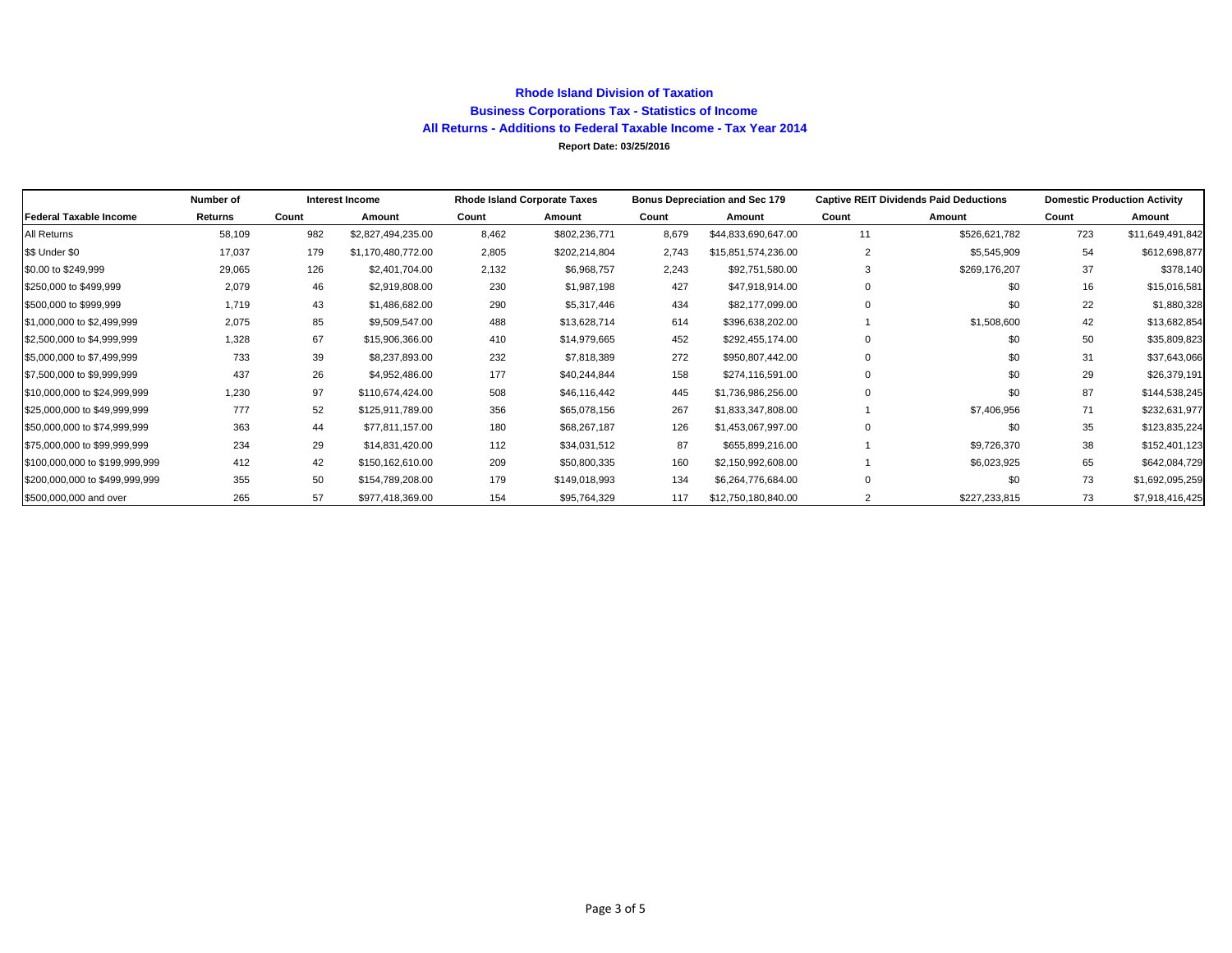### **Rhode Island Division of Taxation Business Corporations Tax - Statistics of Income All Returns - Additions to Federal Taxable Income - Tax Year 2014 Report Date: 03/25/2016**

|                                | Number of |       | Interest Income    |       | <b>Rhode Island Corporate Taxes</b> |       | <b>Bonus Depreciation and Sec 179</b> |                | <b>Captive REIT Dividends Paid Deductions</b> | <b>Domestic Production Activity</b> |                  |  |
|--------------------------------|-----------|-------|--------------------|-------|-------------------------------------|-------|---------------------------------------|----------------|-----------------------------------------------|-------------------------------------|------------------|--|
| <b>Federal Taxable Income</b>  | Returns   | Count | Amount             | Count | Amount                              | Count | Amount                                | Count          | Amount                                        | Count                               | Amount           |  |
| All Returns                    | 58,109    | 982   | \$2,827,494,235.00 | 8,462 | \$802,236,771                       | 8,679 | \$44,833,690,647.00                   | 11             | \$526,621,782                                 | 723                                 | \$11,649,491,842 |  |
| \$\$ Under \$0                 | 17,037    | 179   | \$1,170,480,772.00 | 2,805 | \$202,214,804                       | 2,743 | \$15,851,574,236.00                   | 2              | \$5,545,909                                   | 54                                  | \$612,698,877    |  |
| \$0.00 to \$249,999            | 29,065    | 126   | \$2,401,704.00     | 2,132 | \$6,968,757                         | 2,243 | \$92,751,580.00                       | 3              | \$269,176,207                                 | 37                                  | \$378,140        |  |
| \$250,000 to \$499,999         | 2,079     | 46    | \$2,919,808.00     | 230   | \$1,987,198                         | 427   | \$47,918,914.00                       | $\Omega$       | \$0                                           | 16                                  | \$15,016,581     |  |
| \$500,000 to \$999,999         | 1,719     | 43    | \$1,486,682.00     | 290   | \$5,317,446                         | 434   | \$82,177,099.00                       | $\Omega$       | \$0                                           | 22                                  | \$1,880,328      |  |
| \$1,000,000 to \$2,499,999     | 2,075     | 85    | \$9,509,547.00     | 488   | \$13,628,714                        | 614   | \$396,638,202.00                      |                | \$1,508,600                                   | 42                                  | \$13,682,854     |  |
| \$2,500,000 to \$4,999,999     | 1,328     | 67    | \$15,906,366.00    | 410   | \$14,979,665                        | 452   | \$292,455,174.00                      | $\Omega$       | \$0                                           | 50                                  | \$35,809,823     |  |
| \$5,000,000 to \$7,499,999     | 733       | 39    | \$8,237,893.00     | 232   | \$7,818,389                         | 272   | \$950,807,442.00                      | $\Omega$       | \$0                                           | 31                                  | \$37,643,066     |  |
| \$7,500,000 to \$9,999,999     | 437       | 26    | \$4,952,486.00     | 177   | \$40,244,844                        | 158   | \$274,116,591.00                      |                | \$0                                           | 29                                  | \$26,379,191     |  |
| \$10,000,000 to \$24,999,999   | 1,230     | 97    | \$110,674,424.00   | 508   | \$46,116,442                        | 445   | \$1,736,986,256.00                    | $\Omega$       | \$0                                           | 87                                  | \$144,538,245    |  |
| \$25,000,000 to \$49,999,999   | 777       | 52    | \$125,911,789.00   | 356   | \$65,078,156                        | 267   | \$1,833,347,808.00                    |                | \$7,406,956                                   | 71                                  | \$232,631,977    |  |
| \$50,000,000 to \$74,999.999   | 363       | 44    | \$77,811,157.00    | 180   | \$68,267,187                        | 126   | \$1,453,067,997.00                    | $\Omega$       | \$0                                           | 35                                  | \$123,835,224    |  |
| \$75,000,000 to \$99,999,999   | 234       | 29    | \$14,831,420.00    | 112   | \$34,031,512                        | 87    | \$655,899,216.00                      |                | \$9,726,370                                   | 38                                  | \$152,401,123    |  |
| \$100,000,000 to \$199,999,999 | 412       | 42    | \$150,162,610.00   | 209   | \$50,800,335                        | 160   | \$2,150,992,608.00                    |                | \$6,023,925                                   | 65                                  | \$642,084,729    |  |
| \$200,000,000 to \$499,999,999 | 355       | 50    | \$154,789,208.00   | 179   | \$149,018,993                       | 134   | \$6,264,776,684.00                    | $\Omega$       | \$0                                           | 73                                  | \$1,692,095,259  |  |
| \$500,000,000 and over         | 265       | 57    | \$977,418,369.00   | 154   | \$95,764,329                        | 117   | \$12,750,180,840.00                   | $\overline{2}$ | \$227,233,815                                 | 73                                  | \$7,918,416,425  |  |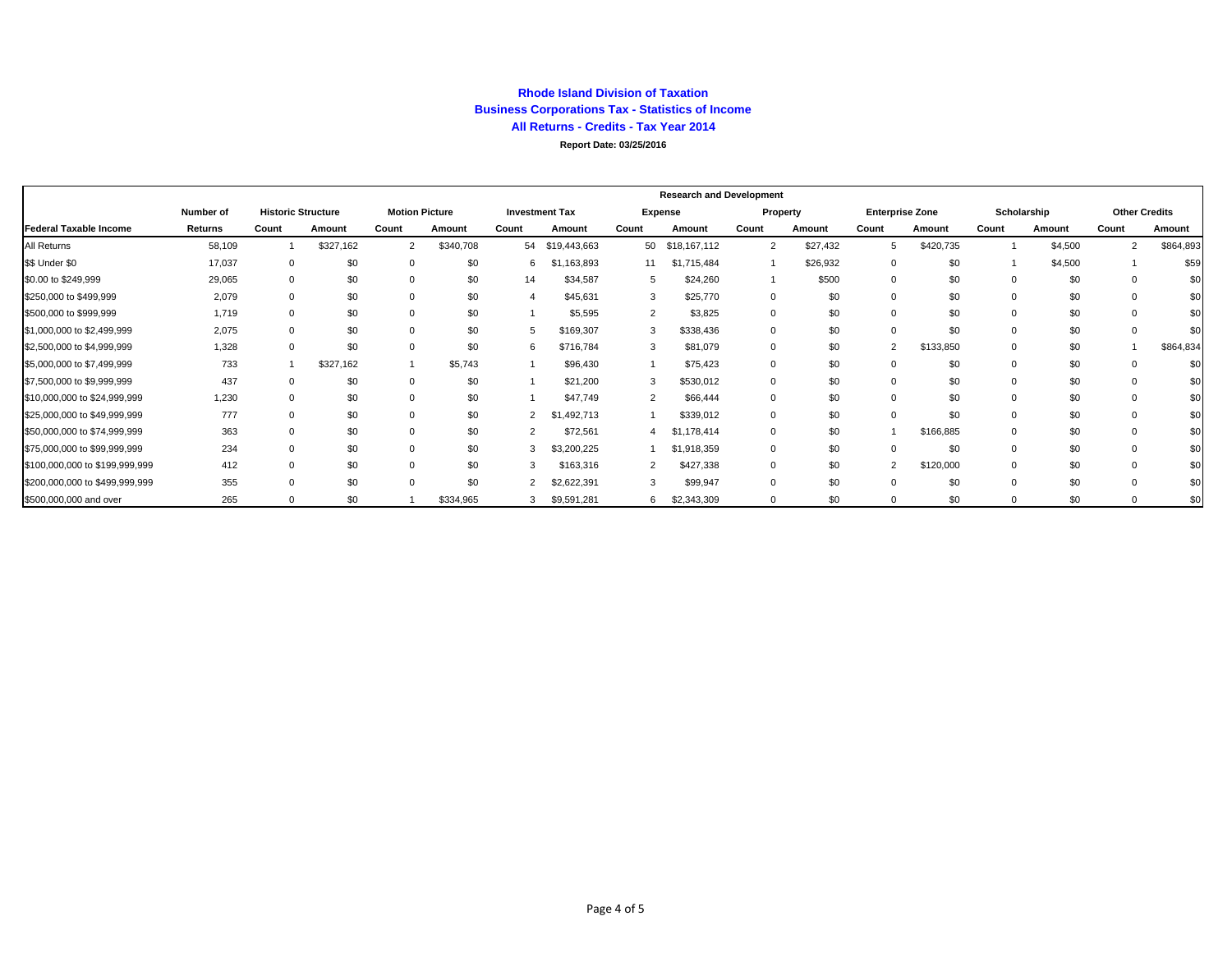#### **Rhode Island Division of Taxation Business Corporations Tax - Statistics of Income All Returns - Credits - Tax Year 2014 Report Date: 03/25/2016**

|                                |           | <b>Research and Development</b> |           |                       |           |                |                       |                     |              |                |                        |                |             |       |                      |                |           |
|--------------------------------|-----------|---------------------------------|-----------|-----------------------|-----------|----------------|-----------------------|---------------------|--------------|----------------|------------------------|----------------|-------------|-------|----------------------|----------------|-----------|
|                                | Number of | <b>Historic Structure</b>       |           | <b>Motion Picture</b> |           |                | <b>Investment Tax</b> | Expense<br>Property |              |                | <b>Enterprise Zone</b> |                | Scholarship |       | <b>Other Credits</b> |                |           |
| Federal Taxable Income         | Returns   | Count                           | Amount    | Count                 | Amount    | Count          | Amount                | Count               | Amount       | Count          | Amount                 | Count          | Amount      | Count | Amount               | Count          | Amount    |
| All Returns                    | 58,109    |                                 | \$327,162 | 2                     | \$340,708 |                | 54 \$19,443,663       | 50                  | \$18,167,112 | $\overline{2}$ | \$27,432               | 5              | \$420,735   |       | \$4,500              | $\overline{2}$ | \$864,893 |
| \$\$ Under \$0                 | 17,037    |                                 | \$0       | $\mathbf{0}$          | \$0       | 6              | \$1,163,893           | 11                  | \$1,715,484  |                | \$26,932               | 0              | \$0         |       | \$4,500              |                | \$59      |
| \$0.00 to \$249,999            | 29,065    |                                 | \$0       | $\Omega$              | \$0       | 14             | \$34,587              |                     | \$24,260     |                | \$500                  |                | \$0         |       | \$0                  |                | \$С       |
| \$250,000 to \$499,999         | 2,079     |                                 | \$0       | $\mathbf 0$           | \$0       |                | \$45,631              |                     | \$25,770     | $\Omega$       | \$0                    |                | \$0         |       | \$0                  |                | \$С       |
| \$500,000 to \$999,999         | 1,719     |                                 | \$0       | 0                     | \$0       |                | \$5,595               |                     | \$3,825      | $\Omega$       | \$0                    |                | \$0         |       | \$0                  |                | \$С       |
| \$1,000,000 to \$2,499,999     | 2,075     | $\Omega$                        | \$0       | 0                     | \$0       |                | \$169,307             |                     | \$338,436    | $\Omega$       | \$0                    | 0              | \$0         |       | \$0                  |                | \$0       |
| \$2,500,000 to \$4,999,999     | 1,328     | $\Omega$                        | \$0       | 0                     | \$0       | 6              | \$716,784             |                     | \$81,079     | $\Omega$       | \$0                    | $\overline{2}$ | \$133,850   |       | \$0                  |                | \$864,834 |
| \$5,000,000 to \$7,499,999     | 733       |                                 | \$327,162 |                       | \$5,743   |                | \$96,430              |                     | \$75,423     | $\Omega$       | \$0                    |                | \$0         |       | \$0                  |                | \$0       |
| \$7,500,000 to \$9,999,999     | 437       | $\Omega$                        | \$0       | 0                     | \$0       |                | \$21,200              |                     | \$530,012    | $\Omega$       | \$0                    | 0              | \$0         |       | \$0                  |                | \$0       |
| \$10,000,000 to \$24,999,999   | 1,230     |                                 | \$0       | 0                     | \$0       |                | \$47,749              |                     | \$66,444     | $\Omega$       | \$0                    |                | \$0         |       | \$0                  |                | \$0       |
| \$25,000,000 to \$49,999,999   | 777       |                                 | \$0       | 0                     | \$0       |                | \$1,492,713           |                     | \$339,012    | $\Omega$       | \$0                    | $\Omega$       | \$0         |       | \$0                  |                | \$0       |
| \$50,000,000 to \$74,999,999   | 363       |                                 | \$0       | 0                     | \$0       | $\overline{2}$ | \$72,561              |                     | \$1,178,414  | $\Omega$       | \$0                    |                | \$166,885   |       | \$0                  |                | \$0       |
| \$75,000,000 to \$99,999,999   | 234       |                                 | \$0       | 0                     | \$0       | 3              | \$3,200,225           |                     | \$1,918,359  | $\Omega$       | \$0                    |                | \$0         |       | \$0                  |                | \$0       |
| \$100,000,000 to \$199,999,999 | 412       |                                 | \$0       | 0                     | \$0       | 3              | \$163,316             |                     | \$427,338    | $\Omega$       | \$0                    | $\overline{2}$ | \$120,000   |       | \$0                  |                | \$0       |
| \$200,000,000 to \$499,999,999 | 355       |                                 | \$0       | $\mathbf 0$           | \$0       | 2              | \$2,622,391           |                     | \$99,947     | $\Omega$       | \$0                    |                | \$0         |       | \$0                  |                | \$0       |
| \$500,000,000 and over         | 265       |                                 | \$0       |                       | \$334,965 | 3              | \$9,591,281           | 6                   | \$2,343,309  | $\mathbf 0$    | \$0                    | 0              | \$0         |       | \$0                  |                | \$0       |